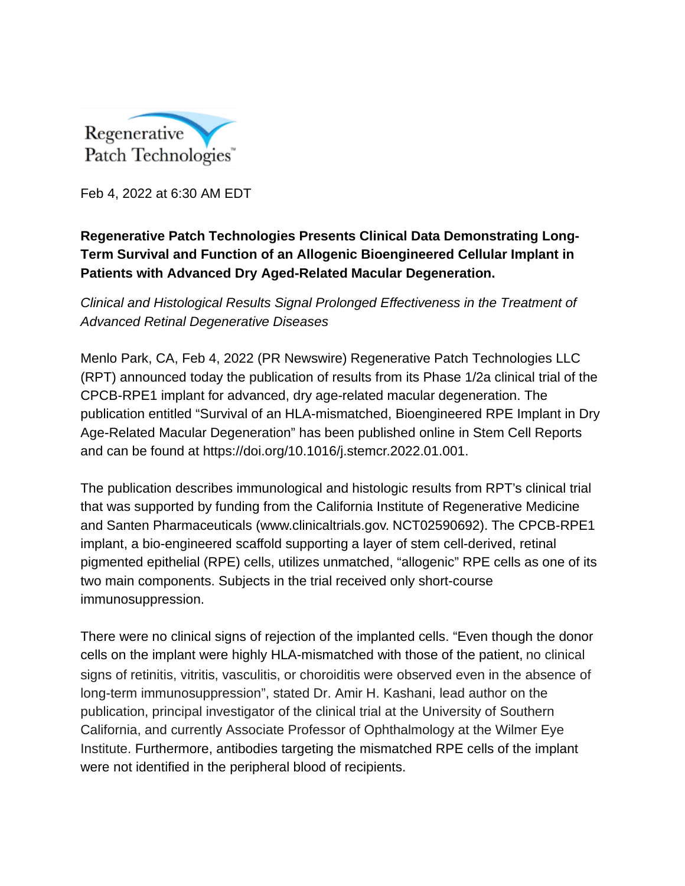

Feb 4, 2022 at 6:30 AM EDT

## **Regenerative Patch Technologies Presents Clinical Data Demonstrating Long-Term Survival and Function of an Allogenic Bioengineered Cellular Implant in Patients with Advanced Dry Aged-Related Macular Degeneration.**

*Clinical and Histological Results Signal Prolonged Effectiveness in the Treatment of Advanced Retinal Degenerative Diseases*

Menlo Park, CA, Feb 4, 2022 (PR Newswire) Regenerative Patch Technologies LLC (RPT) announced today the publication of results from its Phase 1/2a clinical trial of the CPCB-RPE1 implant for advanced, dry age-related macular degeneration. The publication entitled "Survival of an HLA-mismatched, Bioengineered RPE Implant in Dry Age-Related Macular Degeneration" has been published online in Stem Cell Reports and can be found at https://doi.org/10.1016/j.stemcr.2022.01.001.

The publication describes immunological and histologic results from RPT's clinical trial that was supported by funding from the California Institute of Regenerative Medicine and Santen Pharmaceuticals (www.clinicaltrials.gov. NCT02590692). The CPCB-RPE1 implant, a bio-engineered scaffold supporting a layer of stem cell-derived, retinal pigmented epithelial (RPE) cells, utilizes unmatched, "allogenic" RPE cells as one of its two main components. Subjects in the trial received only short-course immunosuppression.

There were no clinical signs of rejection of the implanted cells. "Even though the donor cells on the implant were highly HLA-mismatched with those of the patient, no clinical signs of retinitis, vitritis, vasculitis, or choroiditis were observed even in the absence of long-term immunosuppression", stated Dr. Amir H. Kashani, lead author on the publication, principal investigator of the clinical trial at the University of Southern California, and currently Associate Professor of Ophthalmology at the Wilmer Eye Institute. Furthermore, antibodies targeting the mismatched RPE cells of the implant were not identified in the peripheral blood of recipients.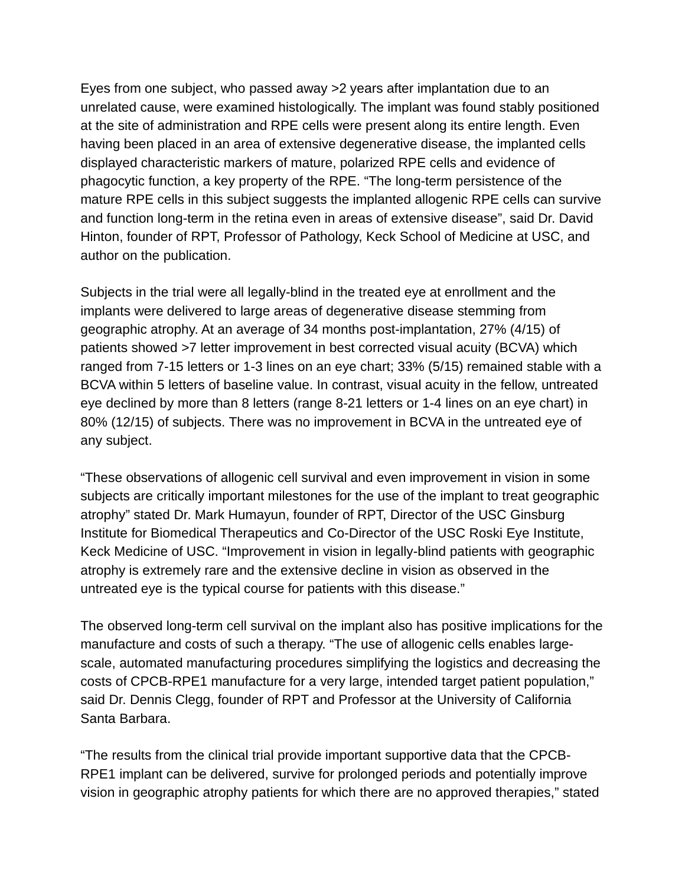Eyes from one subject, who passed away >2 years after implantation due to an unrelated cause, were examined histologically. The implant was found stably positioned at the site of administration and RPE cells were present along its entire length. Even having been placed in an area of extensive degenerative disease, the implanted cells displayed characteristic markers of mature, polarized RPE cells and evidence of phagocytic function, a key property of the RPE. "The long-term persistence of the mature RPE cells in this subject suggests the implanted allogenic RPE cells can survive and function long-term in the retina even in areas of extensive disease", said Dr. David Hinton, founder of RPT, Professor of Pathology, Keck School of Medicine at USC, and author on the publication.

Subjects in the trial were all legally-blind in the treated eye at enrollment and the implants were delivered to large areas of degenerative disease stemming from geographic atrophy. At an average of 34 months post-implantation, 27% (4/15) of patients showed >7 letter improvement in best corrected visual acuity (BCVA) which ranged from 7-15 letters or 1-3 lines on an eye chart; 33% (5/15) remained stable with a BCVA within 5 letters of baseline value. In contrast, visual acuity in the fellow, untreated eye declined by more than 8 letters (range 8-21 letters or 1-4 lines on an eye chart) in 80% (12/15) of subjects. There was no improvement in BCVA in the untreated eye of any subject.

"These observations of allogenic cell survival and even improvement in vision in some subjects are critically important milestones for the use of the implant to treat geographic atrophy" stated Dr. Mark Humayun, founder of RPT, Director of the USC Ginsburg Institute for Biomedical Therapeutics and Co-Director of the USC Roski Eye Institute, Keck Medicine of USC. "Improvement in vision in legally-blind patients with geographic atrophy is extremely rare and the extensive decline in vision as observed in the untreated eye is the typical course for patients with this disease."

The observed long-term cell survival on the implant also has positive implications for the manufacture and costs of such a therapy. "The use of allogenic cells enables largescale, automated manufacturing procedures simplifying the logistics and decreasing the costs of CPCB-RPE1 manufacture for a very large, intended target patient population," said Dr. Dennis Clegg, founder of RPT and Professor at the University of California Santa Barbara.

"The results from the clinical trial provide important supportive data that the CPCB-RPE1 implant can be delivered, survive for prolonged periods and potentially improve vision in geographic atrophy patients for which there are no approved therapies," stated